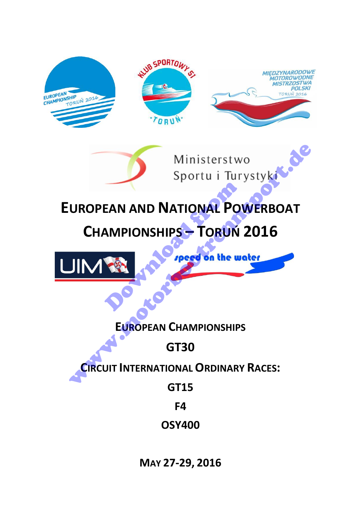

**MAY 27-29, 2016**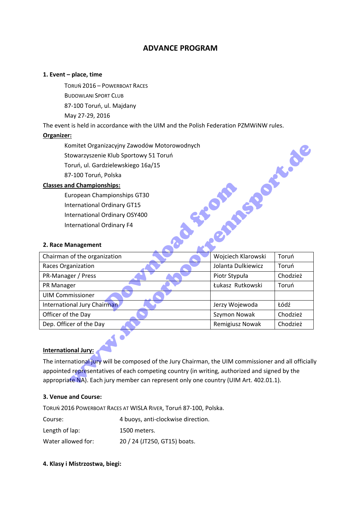# **ADVANCE PROGRAM**

#### **1. Event – place, time**

TORUŃ 2016 – POWERBOAT RACES BUDOWLANI SPORT CLUB 87-100 Toruń, ul. Majdany May 27-29, 2016

The event is held in accordance with the UIM and the Polish Federation PZMWiNW rules.

### **Organizer:**

# **Classes and Championships:**

#### **2. Race Management**

| Komitet Organizacyjny Zawodów Motorowodnych                                                          |                    |          |
|------------------------------------------------------------------------------------------------------|--------------------|----------|
| Stowarzyszenie Klub Sportowy 51 Toruń                                                                |                    |          |
| Toruń, ul. Gardzielewskiego 16a/15                                                                   |                    |          |
| 87-100 Toruń, Polska                                                                                 |                    |          |
| <b>Classes and Championships:</b>                                                                    |                    |          |
| European Championships GT30                                                                          |                    |          |
| <b>International Ordinary GT15</b>                                                                   |                    |          |
| International Ordinary OSY400                                                                        |                    |          |
| <b>International Ordinary F4</b>                                                                     |                    |          |
|                                                                                                      |                    |          |
| 2. Race Management                                                                                   |                    |          |
| Chairman of the organization                                                                         | Wojciech Klarowski | Toruń    |
| Races Organization                                                                                   | Jolanta Dulkiewicz | Toruń    |
| PR-Manager / Press                                                                                   | Piotr Stypuła      | Chodzież |
| PR Manager                                                                                           | Łukasz Rutkowski   | Toruń    |
| <b>UIM Commissioner</b>                                                                              |                    |          |
| International Jury Chairman                                                                          | Jerzy Wojewoda     | Łódź     |
| Officer of the Day                                                                                   | Szymon Nowak       | Chodzież |
| Dep. Officer of the Day                                                                              | Remigiusz Nowak    | Chodzież |
| <b>International Jury:</b>                                                                           |                    |          |
| The international jury will be composed of the Jury Chairman, the UIM commissioner and all officiall |                    |          |
| appointed representatives of each competing country (in writing, authorized and signed by the        |                    |          |
| appropriate NA). Each jury member can represent only one country (UIM Art. 402.01.1).                |                    |          |
|                                                                                                      |                    |          |

#### **3. Venue and Course:**

TORUŃ 2016 POWERBOAT RACES AT WISLA RIVER, Toruń 87-100, Polska. Course: 4 buoys, anti-clockwise direction. Length of lap: 1500 meters. Water allowed for: 20 / 24 (JT250, GT15) boats.

#### **4. Klasy i Mistrzostwa, biegi:**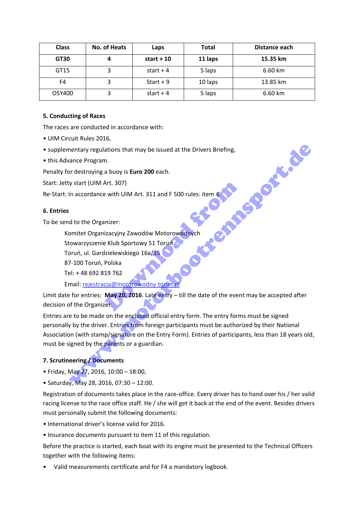| <b>Class</b> | No. of Heats | Laps        | <b>Total</b> | Distance each |
|--------------|--------------|-------------|--------------|---------------|
| GT30         |              | start $+10$ | 11 laps      | 15.35 km      |
| GT15         |              | start $+4$  | 5 laps       | 6.60 km       |
| F4           |              | $Start + 9$ | 10 laps      | 13.85 km      |
| OSY400       |              | start + $4$ | 5 laps       | 6.60 km       |

## **5. Conducting of Races**

The races are conducted in accordance with:

- UIM Circuit Rules 2016,
- supplementary regulations that may be issued at the Drivers Briefing,
- this Advance Program.

Penalty for destroying a buoy is **Euro 200** each.

Start: Jetty start (UIM Art. 307)

Re-Start: In accordance with UIM Art. 311 and F 500 rules: item

### **6. Entries**

To be send to the Organizer:

Komitet Organizacyjny Zawodów Motorowodnych

Stowarzyszenie Klub Sportowy 51 Toruń

Toruń, ul. Gardzielewskiego 16a/15

87-100 Toruń, Polska

Tel: + 48 692 819 762

Email: rejestracja@motorowodny-torun.pl

Limit date for entries: **May 20, 2016**. Late entry – till the date of the event may be accepted after decision of the Organizer. Art. 307)<br>
Pe with UIM Art. 311 and F 500 rules: item 4:<br>
Inizer:<br>
izacyjny Zawodów Motorowodnych<br>
Excelewskiego 16a/15<br>
Polska<br>
19 762<br>
Cia@motorowodny-torun.pl<br>
May 20, 2016. Late entry – till the date of the even

Entries are to be made on the enclosed official entry form. The entry forms must be signed personally by the driver. Entries from foreign participants must be authorized by their National Association (with stamp/signature on the Entry Form). Entries of participants, less than 18 years old, must be signed by the parents or a guardian. mentary regulations that may be issued at the Drivers Briefing,<br>vance Program.<br>The destroying a buoy is **Euro 200** each.<br>The destroying a buoy is **Euro 200** each.<br>The destroying a buoy is **Euro 200** each.<br>The destroyant (U

# **7. Scrutineering / Documents**

- Friday, May 27, 2016, 10:00 18:00,
- Saturday, May 28, 2016, 07:30 12:00.

Registration of documents takes place in the race-office. Every driver has to hand over his / her valid racing license to the race office staff. He / she will get it back at the end of the event. Besides drivers must personally submit the following documents:

- International driver's license valid for 2016.
- Insurance documents pursuant to item 11 of this regulation.

Before the practice is started, each boat with its engine must be presented to the Technical Officers together with the following items:

• Valid measurements certificate and for F4 a mandatory logbook.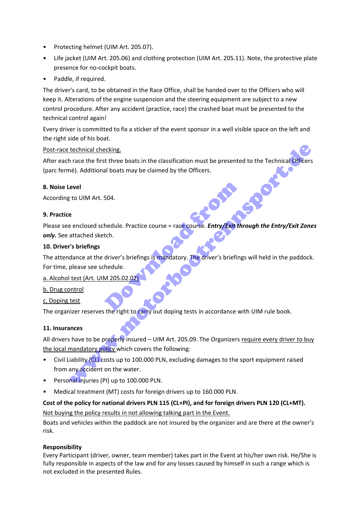- Protecting helmet (UIM Art. 205.07).
- Life jacket (UIM Art. 205.06) and clothing protection (UIM Art. 205.11). Note, the protective plate presence for no-cockpit boats.
- Paddle, if required.

The driver's card, to be obtained in the Race Office, shall be handed over to the Officers who will keep it. Alterations of the engine suspension and the steering equipment are subject to a new control procedure. After any accident (practice, race) the crashed boat must be presented to the technical control again!

Every driver is committed to fix a sticker of the event sponsor in a well visible space on the left and the right side of his boat.

# Post-race technical checking.

After each race the first three boats in the classification must be presented to the Technical Officers (parc fermé). Additional boats may be claimed by the Officers. technical checking.<br>
In race the first three boats in the classification must be presented to the Technical Officers<br>
evel<br>
at to UIM Art. 504.<br>
evel<br>
sto UIM Art. 504.<br>
evel<br>
attached sketch.<br>
eventated sketch.<br>
attached

### **8. Noise Level**

According to UIM Art. 504.

### **9. Practice**

Please see enclosed schedule. Practice course = race course. *Entry/Exit through the Entry/Exit Zones only.* See attached sketch.

### **10. Driver's briefings**

The attendance at the driver's briefings is mandatory. The driver's briefings will held in the paddock. For time, please see schedule. 504.<br>
hedule. Practice course = race course. Entry/Exit th<br>
tch.<br>
driver's briefings is mandatory. The driver's briefing<br>
hedule.<br>
M 205.02.02.

# a. Alcohol test (Art. UIM 205.02

- b. Drug control
- c. Doping test

The organizer reserves the right to carry out doping tests in accordance with UIM rule book.

# **11. Insurances**

All drivers have to be properly insured – UIM Art. 205.09. The Organizers require every driver to buy the local mandatory policy which covers the following:

- Civil Liability (CL) costs up to 100.000 PLN, excluding damages to the sport equipment raised from any accident on the water.
- Personal injuries (PI) up to 100.000 PLN.
- Medical treatment (MT) costs for foreign drivers up to 160.000 PLN.

# **Cost of the policy for national drivers PLN 115 (CL+PI), and for foreign drivers PLN 120 (CL+MT).**

Not buying the policy results in not allowing talking part in the Event.

Boats and vehicles within the paddock are not insured by the organizer and are there at the owner's risk.

# **Responsibility**

Every Participant (driver, owner, team member) takes part in the Event at his/her own risk. He/She is fully responsible in aspects of the law and for any losses caused by himself in such a range which is not excluded in the presented Rules.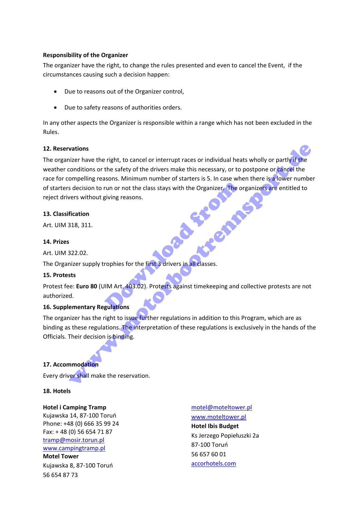#### **Responsibility of the Organizer**

The organizer have the right, to change the rules presented and even to cancel the Event, if the circumstances causing such a decision happen:

- Due to reasons out of the Organizer control,
- Due to safety reasons of authorities orders.

In any other aspects the Organizer is responsible within a range which has not been excluded in the Rules.

#### **12. Reservations**

The organizer have the right, to cancel or interrupt races or individual heats wholly or partly if the weather conditions or the safety of the drivers make this necessary, or to postpone or cancel the race for compelling reasons. Minimum number of starters is 5. In case when there is a lower number of starters decision to run or not the class stays with the Organizer. The organizers are entitled to reject drivers without giving reasons. **Providence** vations<br>
vations<br>
variable the right, to cancel or interrupt races or individual heats wholly or partly if the<br>
compelling reasons. Minimum number of starters is 5. In case when there is a lower number<br>
stection to run or

### **13. Classification**

Art. UIM 318, 311.

### **14. Prizes**

Art. UIM 322.02.

The Organizer supply trophies for the first 3 drivers in all classes.

# **15. Protests**

Protest fee: **Euro 80** (UIM Art. 403.02). Protests against timekeeping and collective protests are not authorized.

# **16. Supplementary Regulations**

The organizer has the right to issue further regulations in addition to this Program, which are as binding as these regulations. The interpretation of these regulations is exclusively in the hands of the Officials. Their decision is binding.

# **17. Accommodation**

Every driver shall make the reservation.

**18. Hotels** 

#### **Hotel i Camping Tramp**

Kujawska 14, 87-100 Toruń Phone: +48 (0) 666 35 99 24 Fax: + 48 (0) 56 654 71 87 [tramp@mosir.torun.pl](mailto:tramp@mosir.torun.pl)  [www.campingtramp.pl](http://www.campingtramp.pl/)

### **Motel Tower**

Kujawska 8, 87-100 Toruń 56 654 87 73

[motel@moteltower.pl](mailto:%20motel@moteltower.pl) [www.moteltower.pl](http://www.moteltower.pl/) **Hotel Ibis Budget**  Ks Jerzego Popiełuszki 2a 87-100 Toruń 56 657 60 01 [accorhotels.com](http://maps.google.pl/local_url?dq=hotel+toruń&q=http://www.accorhotels.com/lien_externe.svlt%3Fgoto%3Dfiche_hotel%26code_hotel%3D7147%26merchantid%3Dseo-maps-PL-7147%26sourceid%3Daw-cen&oi=miw&sa=X&ct=miw_link&cd=1&cad=homepage,cid:14308728991480750616&ei=BZpHU5aHHOS8iQaxpoCoDg&s=ANYYN7npJfLqs-3qhudZD9pm6r5nL4cNPg)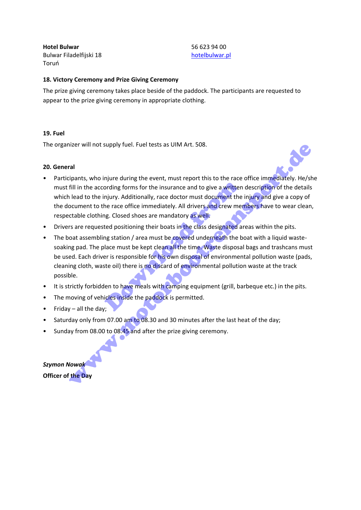**Hotel Bulwar** Bulwar Filadelfijski 18 Toruń

56 623 94 00 [hotelbulwar.pl](http://maps.google.pl/local_url?dq=hotel+toruń&q=http://www.hotelbulwar.pl/&oi=miw&sa=X&ct=miw_link&cd=1&cad=homepage,cid:1380381786912105664&ei=BZpHU5aHHOS8iQaxpoCoDg&s=ANYYN7mZqXkMxqSrUdgFivZZg3r_i069kQ)

#### **18. Victory Ceremony and Prize Giving Ceremony**

The prize giving ceremony takes place beside of the paddock. The participants are requested to appear to the prize giving ceremony in appropriate clothing.

#### **19. Fuel**

The organizer will not supply fuel. Fuel tests as UIM Art. 508.

#### **20. General**

- Participants, who injure during the event, must report this to the race office immediately. He/she must fill in the according forms for the insurance and to give a written description of the details which lead to the injury. Additionally, race doctor must document the injury and give a copy of the document to the race office immediately. All drivers and crew members have to wear clean, respectable clothing. Closed shoes are mandatory as well. nizer will not supply tuel. Huel tests as SUM Art. 508.<br>
Tradentized in the according forms for the insurance and to give a written description of the details<br>
Fill in the according forms for the insurance and to give a wr
- Drivers are requested positioning their boats in the class designated areas within the pits.
- The boat assembling station / area must be covered underneath the boat with a liquid wastesoaking pad. The place must be kept clean all the time. Waste disposal bags and trashcans must be used. Each driver is responsible for his own disposal of environmental pollution waste (pads, cleaning cloth, waste oil) there is no discard of environmental pollution waste at the track possible. ording forms for the insurance and to give a written<br>njury. Additionally, race doctor must document the<br>he race office immediately. All drivers and crew meng.<br>Closed shoes are mandatory as well.<br>ted positioning their boats
- It is strictly forbidden to have meals with camping equipment (grill, barbeque etc.) in the pits.
- The moving of vehicles inside the paddock is permitted.
- $\bullet$  Friday all the day;
- Saturday only from 07.00 am to 08.30 and 30 minutes after the last heat of the day;
- Sunday from 08.00 to 08.45 and after the prize giving ceremony.

*Szymon Nowak* **Officer of the Day**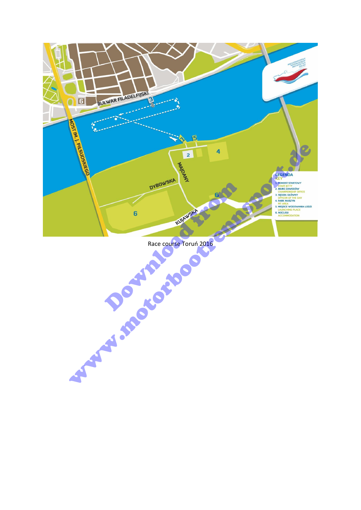

Race course Toruń 2016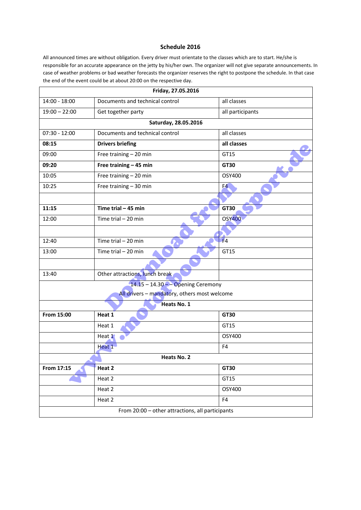#### **Schedule 2016**

All announced times are without obligation. Every driver must orientate to the classes which are to start. He/she is responsible for an accurate appearance on the jetty by his/her own. The organizer will not give separate announcements. In case of weather problems or bad weather forecasts the organizer reserves the right to postpone the schedule. In that case the end of the event could be at about 20:00 on the respective day.

|                 | Friday, 27.05.2016                               |                  |  |
|-----------------|--------------------------------------------------|------------------|--|
| 14:00 - 18:00   | Documents and technical control                  | all classes      |  |
| $19:00 - 22:00$ | Get together party                               | all participants |  |
|                 | Saturday, 28.05.2016                             |                  |  |
| $07:30 - 12:00$ | Documents and technical control                  | all classes      |  |
| 08:15           | <b>Drivers briefing</b>                          | all classes      |  |
| 09:00           | Free training - 20 min                           | GT15             |  |
| 09:20           | Free training - 45 min                           | GT30             |  |
| 10:05           | Free training - 20 min                           | OSY400           |  |
| 10:25           | Free training - 30 min                           | F <sub>4</sub>   |  |
|                 |                                                  |                  |  |
| 11:15           | Time trial $-45$ min                             | GT30             |  |
| 12:00           | Time trial $-20$ min                             | <b>OSY400</b>    |  |
|                 |                                                  |                  |  |
| 12:40           | Time trial $-20$ min                             | F <sub>4</sub>   |  |
| 13:00           | Time trial $-20$ min                             | GT15             |  |
|                 |                                                  |                  |  |
| 13:40           | Other attractions, lunch break                   |                  |  |
|                 | $14.15 - 14.30 -$ Opening Ceremony               |                  |  |
|                 | All drivers - mandatory, others most welcome     |                  |  |
|                 | Heats No. 1                                      |                  |  |
| From 15:00      | Heat 1                                           | GT30             |  |
|                 | Heat 1                                           | GT15             |  |
|                 | Heat 1                                           | OSY400           |  |
|                 | Heat 1                                           | F <sub>4</sub>   |  |
|                 | Heats No. 2                                      |                  |  |
| From 17:15      | Heat 2                                           | <b>GT30</b>      |  |
|                 | Heat 2                                           | GT15             |  |
|                 | Heat 2                                           | OSY400           |  |
|                 | Heat 2                                           | F4               |  |
|                 | From 20:00 - other attractions, all participants |                  |  |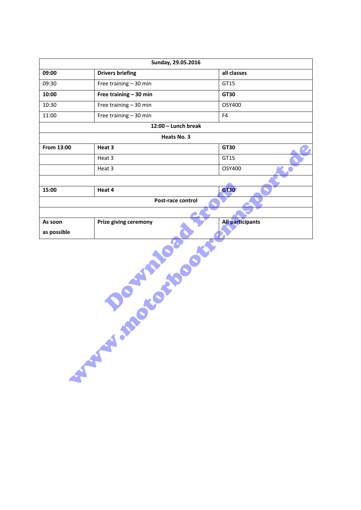|                                                   | Sunday, 29.05.2016           |                         |  |
|---------------------------------------------------|------------------------------|-------------------------|--|
| 09:00                                             | <b>Drivers briefing</b>      | all classes             |  |
| 09:30                                             | Free training - 30 min       | GT15                    |  |
| 10:00                                             | Free training $-30$ min      | GT30                    |  |
| 10:30                                             | Free training - 30 min       | OSY400                  |  |
| 11:00                                             | Free training - 30 min       | F4                      |  |
|                                                   | 12:00 - Lunch break          |                         |  |
|                                                   | Heats No. 3                  |                         |  |
| From 13:00                                        | Heat 3                       | GT30                    |  |
|                                                   | Heat 3                       | GT15                    |  |
|                                                   | Heat 3                       | OSY400                  |  |
|                                                   |                              |                         |  |
| 15:00                                             | Heat 4                       | <b>GT30</b>             |  |
|                                                   | Post-race control            |                         |  |
|                                                   |                              |                         |  |
| As soon                                           | <b>Prize giving ceremony</b> | <b>All participants</b> |  |
| as possible                                       |                              |                         |  |
| <b>POLICE AND DESCRIPTION</b><br><b>SEPTEMBER</b> |                              |                         |  |